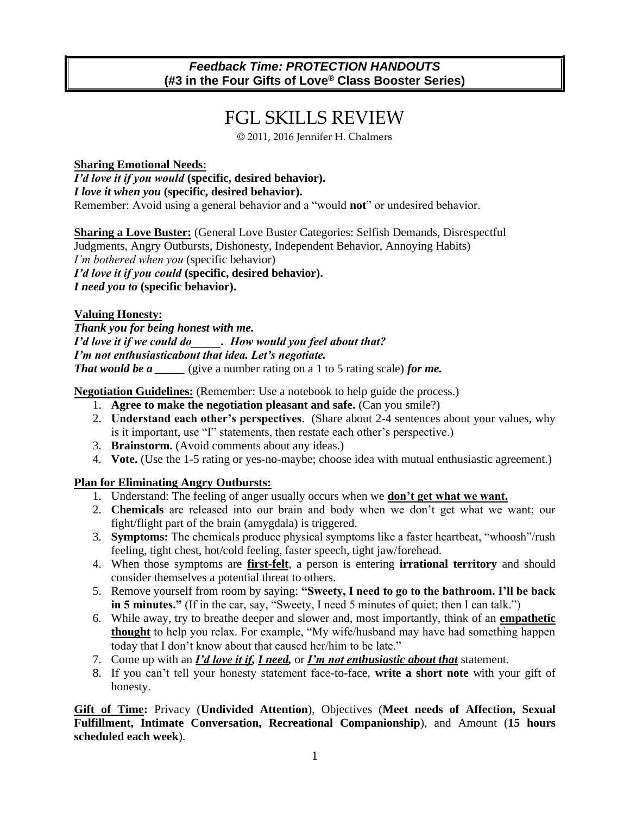#### *Feedback Time: PROTECTION HANDOUTS* **(#3 in the Four Gifts of Love® Class Booster Series)**

### FGL SKILLS REVIEW

© 2011, 2016 Jennifer H. Chalmers

**Sharing Emotional Needs:** *I'd love it if you would* **(specific, desired behavior).**  *I love it when you* **(specific, desired behavior).**  Remember: Avoid using a general behavior and a "would **not**" or undesired behavior.

**Sharing a Love Buster:** (General Love Buster Categories: Selfish Demands, Disrespectful Judgments, Angry Outbursts, Dishonesty, Independent Behavior, Annoying Habits) *I'm bothered when you* (specific behavior) *I'd love it if you could* **(specific, desired behavior).**  *I need you to* **(specific behavior).** 

#### **Valuing Honesty:**

*Thank you for being honest with me. I'd love it if we could do\_\_\_\_\_. How would you feel about that? I'm not enthusiasticabout that idea. Let's negotiate. That would be a* (give a number rating on a 1 to 5 rating scale) *for me.* 

**Negotiation Guidelines:** (Remember: Use a notebook to help guide the process.)

- 1. **Agree to make the negotiation pleasant and safe.** (Can you smile?)
- 2. **Understand each other's perspectives**. (Share about 2-4 sentences about your values, why is it important, use "I" statements, then restate each other's perspective.)
- 3. **Brainstorm.** (Avoid comments about any ideas.)
- 4. **Vote.** (Use the 1-5 rating or yes-no-maybe; choose idea with mutual enthusiastic agreement.)

#### **Plan for Eliminating Angry Outbursts:**

- 1. Understand: The feeling of anger usually occurs when we **don't get what we want.**
- 2. **Chemicals** are released into our brain and body when we don't get what we want; our fight/flight part of the brain (amygdala) is triggered.
- 3. **Symptoms:** The chemicals produce physical symptoms like a faster heartbeat, "whoosh"/rush feeling, tight chest, hot/cold feeling, faster speech, tight jaw/forehead.
- 4. When those symptoms are **first-felt**, a person is entering **irrational territory** and should consider themselves a potential threat to others.
- 5. Remove yourself from room by saying: **"Sweety, I need to go to the bathroom. I'll be back in 5 minutes."** (If in the car, say, "Sweety, I need 5 minutes of quiet; then I can talk.")
- 6. While away, try to breathe deeper and slower and, most importantly, think of an **empathetic thought** to help you relax. For example, "My wife/husband may have had something happen today that I don't know about that caused her/him to be late."
- 7. Come up with an *I'd love it if, I need,* or *I'm not enthusiastic about that* statement.
- 8. If you can't tell your honesty statement face-to-face, **write a short note** with your gift of honesty.

**Gift of Time:** Privacy (**Undivided Attention**), Objectives (**Meet needs of Affection, Sexual Fulfillment, Intimate Conversation, Recreational Companionship**), and Amount (**15 hours scheduled each week**).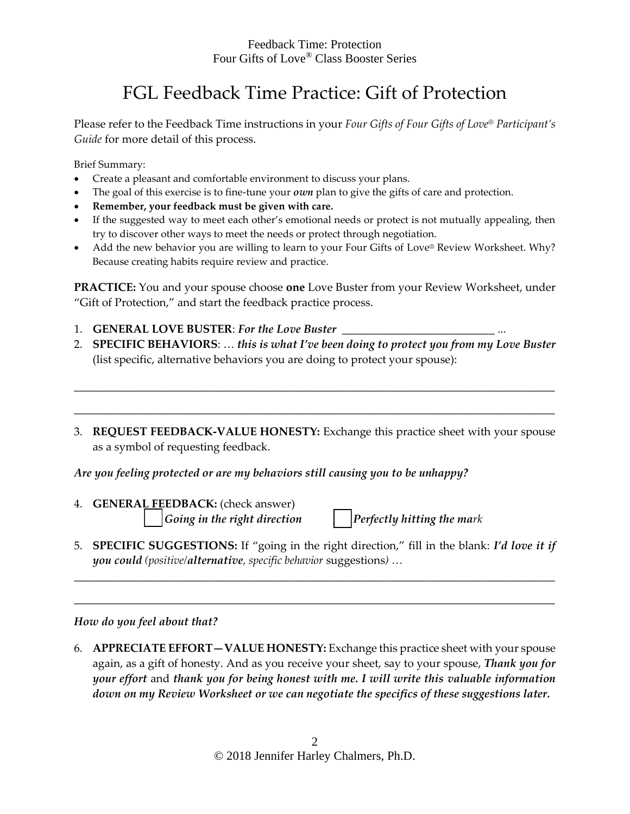#### Feedback Time: Protection Four Gifts of Love® Class Booster Series

### FGL Feedback Time Practice: Gift of Protection

Please refer to the Feedback Time instructions in your *Four Gifts of Four Gifts of Love® Participant's Guide* for more detail of this process.

Brief Summary:

- Create a pleasant and comfortable environment to discuss your plans.
- The goal of this exercise is to fine-tune your *own* plan to give the gifts of care and protection.
- **Remember, your feedback must be given with care.**
- If the suggested way to meet each other's emotional needs or protect is not mutually appealing, then try to discover other ways to meet the needs or protect through negotiation.
- Add the new behavior you are willing to learn to your Four Gifts of Love® Review Worksheet. Why? Because creating habits require review and practice.

**PRACTICE:** You and your spouse choose **one** Love Buster from your Review Worksheet, under "Gift of Protection," and start the feedback practice process.

- 1. **GENERAL LOVE BUSTER**: *For the Love Buster* \_\_\_\_\_\_\_\_\_\_\_\_\_\_\_\_\_\_\_\_\_\_\_\_\_\_\_ ...
- 2. **SPECIFIC BEHAVIORS**: … *this is what I've been doing to protect you from my Love Buster* (list specific, alternative behaviors you are doing to protect your spouse):

\_\_\_\_\_\_\_\_\_\_\_\_\_\_\_\_\_\_\_\_\_\_\_\_\_\_\_\_\_\_\_\_\_\_\_\_\_\_\_\_\_\_\_\_\_\_\_\_\_\_\_\_\_\_\_\_\_\_\_\_\_\_\_\_\_\_\_\_\_\_\_\_\_\_\_\_\_\_\_\_\_\_\_\_\_

\_\_\_\_\_\_\_\_\_\_\_\_\_\_\_\_\_\_\_\_\_\_\_\_\_\_\_\_\_\_\_\_\_\_\_\_\_\_\_\_\_\_\_\_\_\_\_\_\_\_\_\_\_\_\_\_\_\_\_\_\_\_\_\_\_\_\_\_\_\_\_\_\_\_\_\_\_\_\_\_\_\_\_\_\_

3. **REQUEST FEEDBACK-VALUE HONESTY:** Exchange this practice sheet with your spouse as a symbol of requesting feedback.

#### *Are you feeling protected or are my behaviors still causing you to be unhappy?*

4. **GENERAL FEEDBACK:** (check answer) \_\_\_ *Going in the right direction* \_\_\_ *Perfectly hitting the mark* 

5. **SPECIFIC SUGGESTIONS:** If "going in the right direction," fill in the blank: *I'd love it if you could (positive/alternative, specific behavior* suggestions*) …*

*\_\_\_\_\_\_\_\_\_\_\_\_\_\_\_\_\_\_\_\_\_\_\_\_\_\_\_\_\_\_\_\_\_\_\_\_\_\_\_\_\_\_\_\_\_\_\_\_\_\_\_\_\_\_\_\_\_\_\_\_\_\_\_\_\_\_\_\_\_\_\_\_\_\_\_\_\_\_\_\_\_\_\_\_\_*

*\_\_\_\_\_\_\_\_\_\_\_\_\_\_\_\_\_\_\_\_\_\_\_\_\_\_\_\_\_\_\_\_\_\_\_\_\_\_\_\_\_\_\_\_\_\_\_\_\_\_\_\_\_\_\_\_\_\_\_\_\_\_\_\_\_\_\_\_\_\_\_\_\_\_\_\_\_\_\_\_\_\_\_\_\_*

#### *How do you feel about that?*

6. **APPRECIATE EFFORT—VALUE HONESTY:** Exchange this practice sheet with your spouse again, as a gift of honesty. And as you receive your sheet, say to your spouse, *Thank you for your effort* and *thank you for being honest with me. I will write this valuable information down on my Review Worksheet or we can negotiate the specifics of these suggestions later.*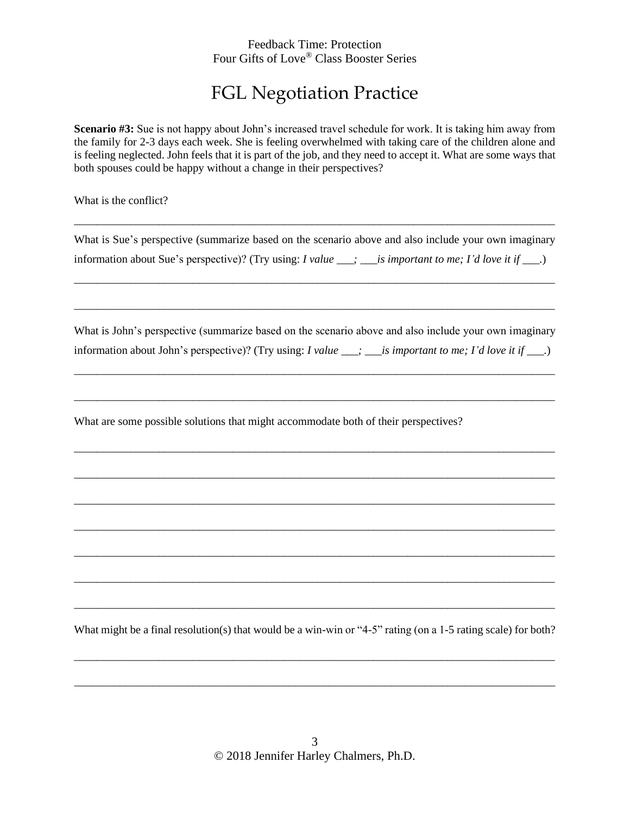#### Feedback Time: Protection Four Gifts of Love® Class Booster Series

## FGL Negotiation Practice

**Scenario #3:** Sue is not happy about John's increased travel schedule for work. It is taking him away from the family for 2-3 days each week. She is feeling overwhelmed with taking care of the children alone and is feeling neglected. John feels that it is part of the job, and they need to accept it. What are some ways that both spouses could be happy without a change in their perspectives?

What is the conflict?

What is Sue's perspective (summarize based on the scenario above and also include your own imaginary information about Sue's perspective)? (Try using: *I value \_\_\_; \_\_\_is important to me; I'd love it if \_\_\_.*)

\_\_\_\_\_\_\_\_\_\_\_\_\_\_\_\_\_\_\_\_\_\_\_\_\_\_\_\_\_\_\_\_\_\_\_\_\_\_\_\_\_\_\_\_\_\_\_\_\_\_\_\_\_\_\_\_\_\_\_\_\_\_\_\_\_\_\_\_\_\_\_\_\_\_\_\_\_\_\_\_\_\_\_\_\_

\_\_\_\_\_\_\_\_\_\_\_\_\_\_\_\_\_\_\_\_\_\_\_\_\_\_\_\_\_\_\_\_\_\_\_\_\_\_\_\_\_\_\_\_\_\_\_\_\_\_\_\_\_\_\_\_\_\_\_\_\_\_\_\_\_\_\_\_\_\_\_\_\_\_\_\_\_\_\_\_\_\_\_\_\_

\_\_\_\_\_\_\_\_\_\_\_\_\_\_\_\_\_\_\_\_\_\_\_\_\_\_\_\_\_\_\_\_\_\_\_\_\_\_\_\_\_\_\_\_\_\_\_\_\_\_\_\_\_\_\_\_\_\_\_\_\_\_\_\_\_\_\_\_\_\_\_\_\_\_\_\_\_\_\_\_\_\_\_\_\_

What is John's perspective (summarize based on the scenario above and also include your own imaginary information about John's perspective)? (Try using: *I value \_\_\_; \_\_\_is important to me; I'd love it if \_\_\_.*)

\_\_\_\_\_\_\_\_\_\_\_\_\_\_\_\_\_\_\_\_\_\_\_\_\_\_\_\_\_\_\_\_\_\_\_\_\_\_\_\_\_\_\_\_\_\_\_\_\_\_\_\_\_\_\_\_\_\_\_\_\_\_\_\_\_\_\_\_\_\_\_\_\_\_\_\_\_\_\_\_\_\_\_\_\_

\_\_\_\_\_\_\_\_\_\_\_\_\_\_\_\_\_\_\_\_\_\_\_\_\_\_\_\_\_\_\_\_\_\_\_\_\_\_\_\_\_\_\_\_\_\_\_\_\_\_\_\_\_\_\_\_\_\_\_\_\_\_\_\_\_\_\_\_\_\_\_\_\_\_\_\_\_\_\_\_\_\_\_\_\_

\_\_\_\_\_\_\_\_\_\_\_\_\_\_\_\_\_\_\_\_\_\_\_\_\_\_\_\_\_\_\_\_\_\_\_\_\_\_\_\_\_\_\_\_\_\_\_\_\_\_\_\_\_\_\_\_\_\_\_\_\_\_\_\_\_\_\_\_\_\_\_\_\_\_\_\_\_\_\_\_\_\_\_\_\_

\_\_\_\_\_\_\_\_\_\_\_\_\_\_\_\_\_\_\_\_\_\_\_\_\_\_\_\_\_\_\_\_\_\_\_\_\_\_\_\_\_\_\_\_\_\_\_\_\_\_\_\_\_\_\_\_\_\_\_\_\_\_\_\_\_\_\_\_\_\_\_\_\_\_\_\_\_\_\_\_\_\_\_\_\_

\_\_\_\_\_\_\_\_\_\_\_\_\_\_\_\_\_\_\_\_\_\_\_\_\_\_\_\_\_\_\_\_\_\_\_\_\_\_\_\_\_\_\_\_\_\_\_\_\_\_\_\_\_\_\_\_\_\_\_\_\_\_\_\_\_\_\_\_\_\_\_\_\_\_\_\_\_\_\_\_\_\_\_\_\_

\_\_\_\_\_\_\_\_\_\_\_\_\_\_\_\_\_\_\_\_\_\_\_\_\_\_\_\_\_\_\_\_\_\_\_\_\_\_\_\_\_\_\_\_\_\_\_\_\_\_\_\_\_\_\_\_\_\_\_\_\_\_\_\_\_\_\_\_\_\_\_\_\_\_\_\_\_\_\_\_\_\_\_\_\_

\_\_\_\_\_\_\_\_\_\_\_\_\_\_\_\_\_\_\_\_\_\_\_\_\_\_\_\_\_\_\_\_\_\_\_\_\_\_\_\_\_\_\_\_\_\_\_\_\_\_\_\_\_\_\_\_\_\_\_\_\_\_\_\_\_\_\_\_\_\_\_\_\_\_\_\_\_\_\_\_\_\_\_\_\_

\_\_\_\_\_\_\_\_\_\_\_\_\_\_\_\_\_\_\_\_\_\_\_\_\_\_\_\_\_\_\_\_\_\_\_\_\_\_\_\_\_\_\_\_\_\_\_\_\_\_\_\_\_\_\_\_\_\_\_\_\_\_\_\_\_\_\_\_\_\_\_\_\_\_\_\_\_\_\_\_\_\_\_\_\_

\_\_\_\_\_\_\_\_\_\_\_\_\_\_\_\_\_\_\_\_\_\_\_\_\_\_\_\_\_\_\_\_\_\_\_\_\_\_\_\_\_\_\_\_\_\_\_\_\_\_\_\_\_\_\_\_\_\_\_\_\_\_\_\_\_\_\_\_\_\_\_\_\_\_\_\_\_\_\_\_\_\_\_\_\_

What are some possible solutions that might accommodate both of their perspectives?

What might be a final resolution(s) that would be a win-win or "4-5" rating (on a 1-5 rating scale) for both?

\_\_\_\_\_\_\_\_\_\_\_\_\_\_\_\_\_\_\_\_\_\_\_\_\_\_\_\_\_\_\_\_\_\_\_\_\_\_\_\_\_\_\_\_\_\_\_\_\_\_\_\_\_\_\_\_\_\_\_\_\_\_\_\_\_\_\_\_\_\_\_\_\_\_\_\_\_\_\_\_\_\_\_\_\_

\_\_\_\_\_\_\_\_\_\_\_\_\_\_\_\_\_\_\_\_\_\_\_\_\_\_\_\_\_\_\_\_\_\_\_\_\_\_\_\_\_\_\_\_\_\_\_\_\_\_\_\_\_\_\_\_\_\_\_\_\_\_\_\_\_\_\_\_\_\_\_\_\_\_\_\_\_\_\_\_\_\_\_\_\_